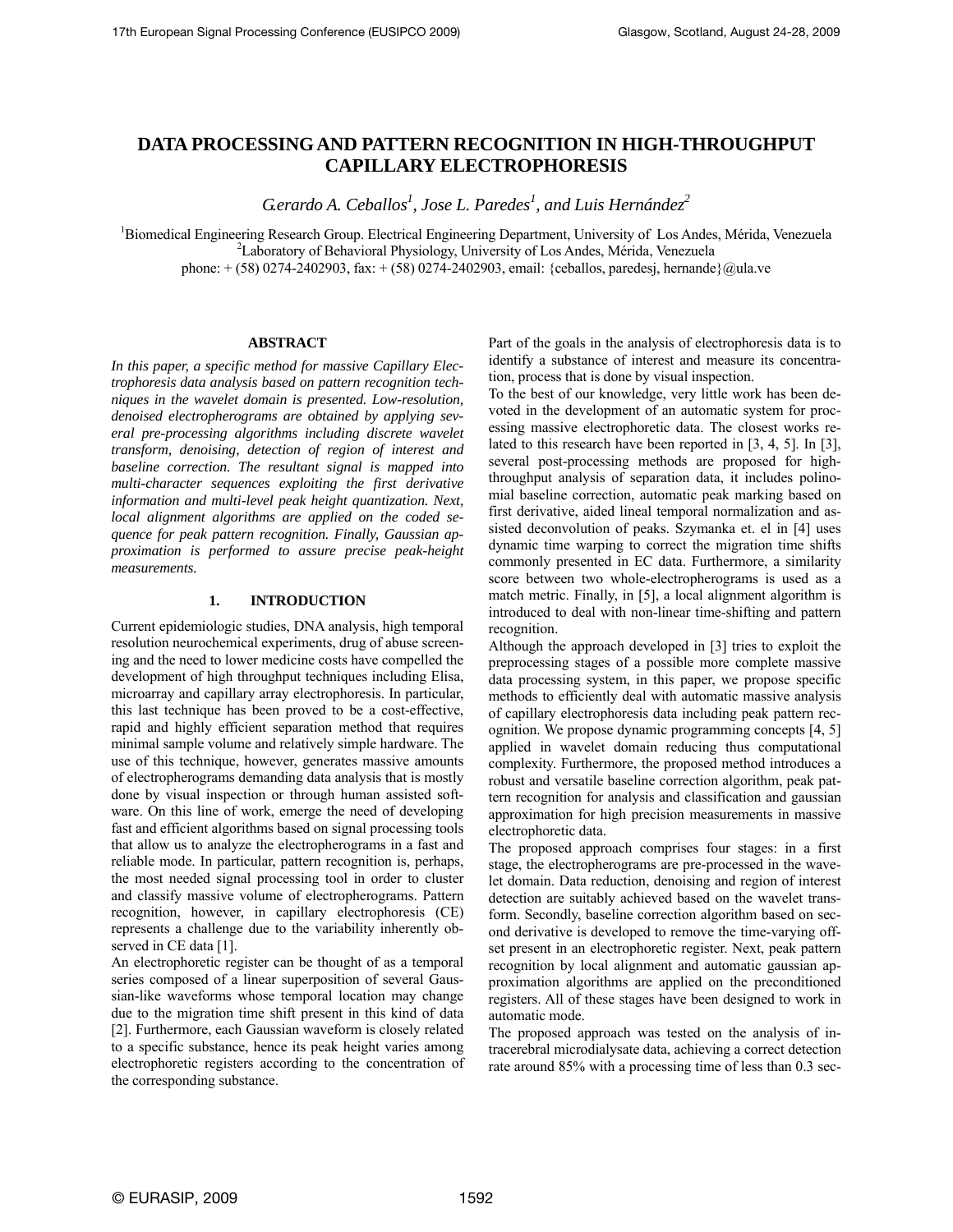# **DATA PROCESSING AND PATTERN RECOGNITION IN HIGH-THROUGHPUT CAPILLARY ELECTROPHORESIS**

 $G$ erardo A. Ceballos<sup>1</sup>, Jose L. Paredes<sup>1</sup>, and Luis Hernández<sup>2</sup>

<sup>1</sup>Biomedical Engineering Research Group. Electrical Engineering Department, University of Los Andes, Mérida, Venezuela <sup>2</sup><sub>1</sub> aboratory of Robovieral Bhysiology, University of Los Andes, Mérida, Venezuela <sup>2</sup>Laboratory of Behavioral Physiology, University of Los Andes, Mérida, Venezuela phone:  $+(58) 0274-2402903$ , fax:  $+(58) 0274-2402903$ , email: {ceballos, paredesj, hernande}@ula.ve

# **ABSTRACT**

*In this paper, a specific method for massive Capillary Electrophoresis data analysis based on pattern recognition techniques in the wavelet domain is presented. Low-resolution, denoised electropherograms are obtained by applying several pre-processing algorithms including discrete wavelet transform, denoising, detection of region of interest and baseline correction. The resultant signal is mapped into multi-character sequences exploiting the first derivative information and multi-level peak height quantization. Next, local alignment algorithms are applied on the coded sequence for peak pattern recognition. Finally, Gaussian approximation is performed to assure precise peak-height measurements.* 

# **1. INTRODUCTION**

Current epidemiologic studies, DNA analysis, high temporal resolution neurochemical experiments, drug of abuse screening and the need to lower medicine costs have compelled the development of high throughput techniques including Elisa, microarray and capillary array electrophoresis. In particular, this last technique has been proved to be a cost-effective, rapid and highly efficient separation method that requires minimal sample volume and relatively simple hardware. The use of this technique, however, generates massive amounts of electropherograms demanding data analysis that is mostly done by visual inspection or through human assisted software. On this line of work, emerge the need of developing fast and efficient algorithms based on signal processing tools that allow us to analyze the electropherograms in a fast and reliable mode. In particular, pattern recognition is, perhaps, the most needed signal processing tool in order to cluster and classify massive volume of electropherograms. Pattern recognition, however, in capillary electrophoresis (CE) represents a challenge due to the variability inherently observed in CE data [1].

An electrophoretic register can be thought of as a temporal series composed of a linear superposition of several Gaussian-like waveforms whose temporal location may change due to the migration time shift present in this kind of data [2]. Furthermore, each Gaussian waveform is closely related to a specific substance, hence its peak height varies among electrophoretic registers according to the concentration of the corresponding substance.

Part of the goals in the analysis of electrophoresis data is to identify a substance of interest and measure its concentration, process that is done by visual inspection.

To the best of our knowledge, very little work has been devoted in the development of an automatic system for processing massive electrophoretic data. The closest works related to this research have been reported in [3, 4, 5]. In [3], several post-processing methods are proposed for highthroughput analysis of separation data, it includes polinomial baseline correction, automatic peak marking based on first derivative, aided lineal temporal normalization and assisted deconvolution of peaks. Szymanka et. el in [4] uses dynamic time warping to correct the migration time shifts commonly presented in EC data. Furthermore, a similarity score between two whole-electropherograms is used as a match metric. Finally, in [5], a local alignment algorithm is introduced to deal with non-linear time-shifting and pattern recognition.

Although the approach developed in [3] tries to exploit the preprocessing stages of a possible more complete massive data processing system, in this paper, we propose specific methods to efficiently deal with automatic massive analysis of capillary electrophoresis data including peak pattern recognition. We propose dynamic programming concepts [4, 5] applied in wavelet domain reducing thus computational complexity. Furthermore, the proposed method introduces a robust and versatile baseline correction algorithm, peak pattern recognition for analysis and classification and gaussian approximation for high precision measurements in massive electrophoretic data.

The proposed approach comprises four stages: in a first stage, the electropherograms are pre-processed in the wavelet domain. Data reduction, denoising and region of interest detection are suitably achieved based on the wavelet transform. Secondly, baseline correction algorithm based on second derivative is developed to remove the time-varying offset present in an electrophoretic register. Next, peak pattern recognition by local alignment and automatic gaussian approximation algorithms are applied on the preconditioned registers. All of these stages have been designed to work in automatic mode.

The proposed approach was tested on the analysis of intracerebral microdialysate data, achieving a correct detection rate around 85% with a processing time of less than 0.3 sec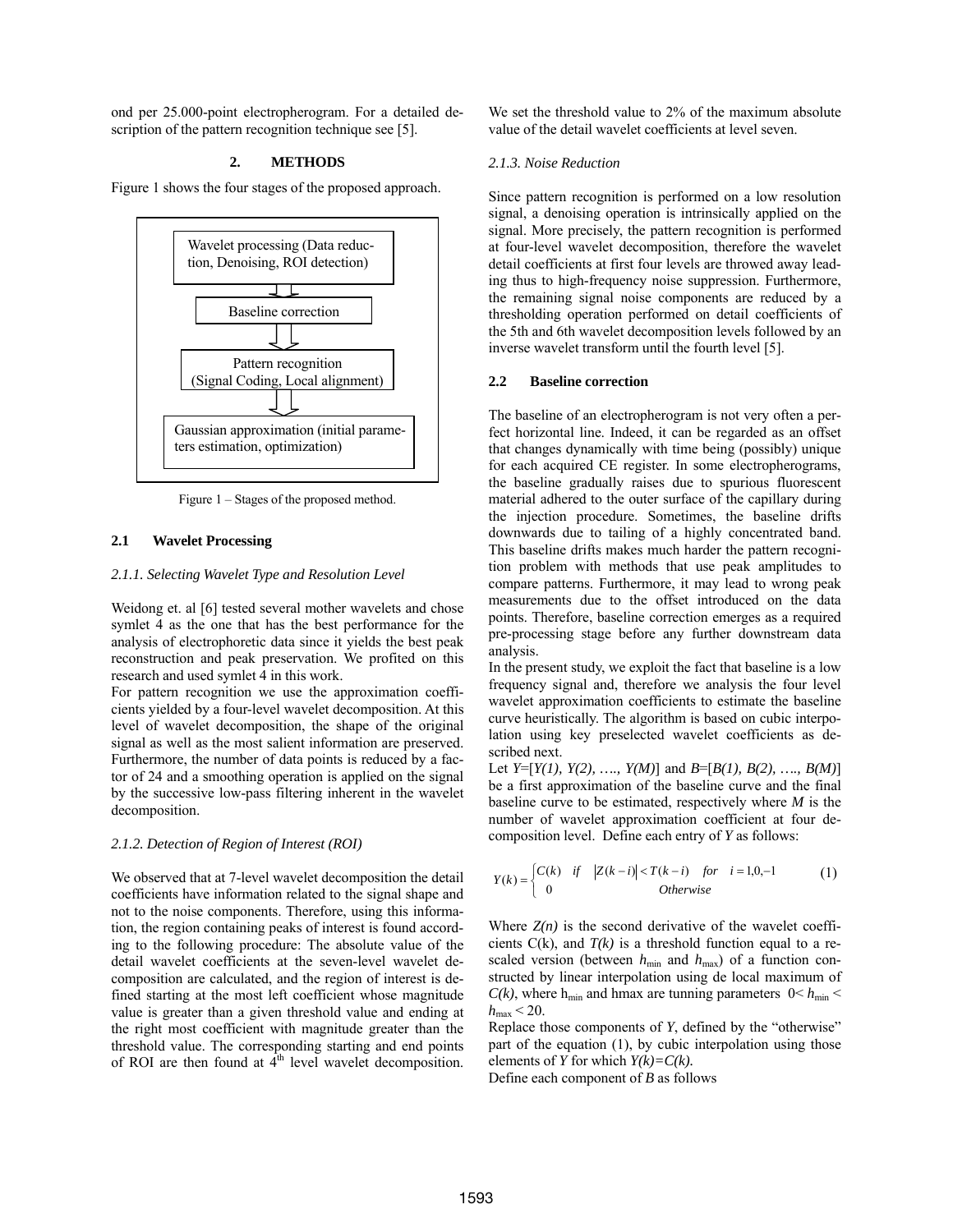ond per 25.000-point electropherogram. For a detailed description of the pattern recognition technique see [5].

# **2. METHODS**

Figure 1 shows the four stages of the proposed approach.



Figure 1 – Stages of the proposed method.

## **2.1 Wavelet Processing**

### *2.1.1. Selecting Wavelet Type and Resolution Level*

Weidong et. al [6] tested several mother wavelets and chose symlet 4 as the one that has the best performance for the analysis of electrophoretic data since it yields the best peak reconstruction and peak preservation. We profited on this research and used symlet 4 in this work.

For pattern recognition we use the approximation coefficients yielded by a four-level wavelet decomposition. At this level of wavelet decomposition, the shape of the original signal as well as the most salient information are preserved. Furthermore, the number of data points is reduced by a factor of 24 and a smoothing operation is applied on the signal by the successive low-pass filtering inherent in the wavelet decomposition.

#### *2.1.2. Detection of Region of Interest (ROI)*

We observed that at 7-level wavelet decomposition the detail coefficients have information related to the signal shape and not to the noise components. Therefore, using this information, the region containing peaks of interest is found according to the following procedure: The absolute value of the detail wavelet coefficients at the seven-level wavelet decomposition are calculated, and the region of interest is defined starting at the most left coefficient whose magnitude value is greater than a given threshold value and ending at the right most coefficient with magnitude greater than the threshold value. The corresponding starting and end points of ROI are then found at  $4<sup>th</sup>$  level wavelet decomposition. We set the threshold value to 2% of the maximum absolute value of the detail wavelet coefficients at level seven.

#### *2.1.3. Noise Reduction*

Since pattern recognition is performed on a low resolution signal, a denoising operation is intrinsically applied on the signal. More precisely, the pattern recognition is performed at four-level wavelet decomposition, therefore the wavelet detail coefficients at first four levels are throwed away leading thus to high-frequency noise suppression. Furthermore, the remaining signal noise components are reduced by a thresholding operation performed on detail coefficients of the 5th and 6th wavelet decomposition levels followed by an inverse wavelet transform until the fourth level [5].

#### **2.2 Baseline correction**

The baseline of an electropherogram is not very often a perfect horizontal line. Indeed, it can be regarded as an offset that changes dynamically with time being (possibly) unique for each acquired CE register. In some electropherograms, the baseline gradually raises due to spurious fluorescent material adhered to the outer surface of the capillary during the injection procedure. Sometimes, the baseline drifts downwards due to tailing of a highly concentrated band. This baseline drifts makes much harder the pattern recognition problem with methods that use peak amplitudes to compare patterns. Furthermore, it may lead to wrong peak measurements due to the offset introduced on the data points. Therefore, baseline correction emerges as a required pre-processing stage before any further downstream data analysis.

In the present study, we exploit the fact that baseline is a low frequency signal and, therefore we analysis the four level wavelet approximation coefficients to estimate the baseline curve heuristically. The algorithm is based on cubic interpolation using key preselected wavelet coefficients as described next.

Let *Y*=[*Y(1), Y(2), …., Y(M)*] and *B*=[*B(1), B(2), …., B(M)*] be a first approximation of the baseline curve and the final baseline curve to be estimated, respectively where *M* is the number of wavelet approximation coefficient at four decomposition level. Define each entry of *Y* as follows:

$$
Y(k) = \begin{cases} C(k) & \text{if} \quad |Z(k-i)| < T(k-i) \quad \text{for} \quad i = 1, 0, -1 \\ 0 & \text{Otherwise} \end{cases} \tag{1}
$$

Where  $Z(n)$  is the second derivative of the wavelet coefficients  $C(k)$ , and  $T(k)$  is a threshold function equal to a rescaled version (between  $h_{\text{min}}$  and  $h_{\text{max}}$ ) of a function constructed by linear interpolation using de local maximum of  $C(k)$ , where h<sub>min</sub> and hmax are tunning parameters  $0 \le h_{\text{min}}$  $h_{\text{max}}$  < 20.

Replace those components of *Y*, defined by the "otherwise" part of the equation (1), by cubic interpolation using those elements of *Y* for which  $Y(k)=C(k)$ .

Define each component of *B* as follows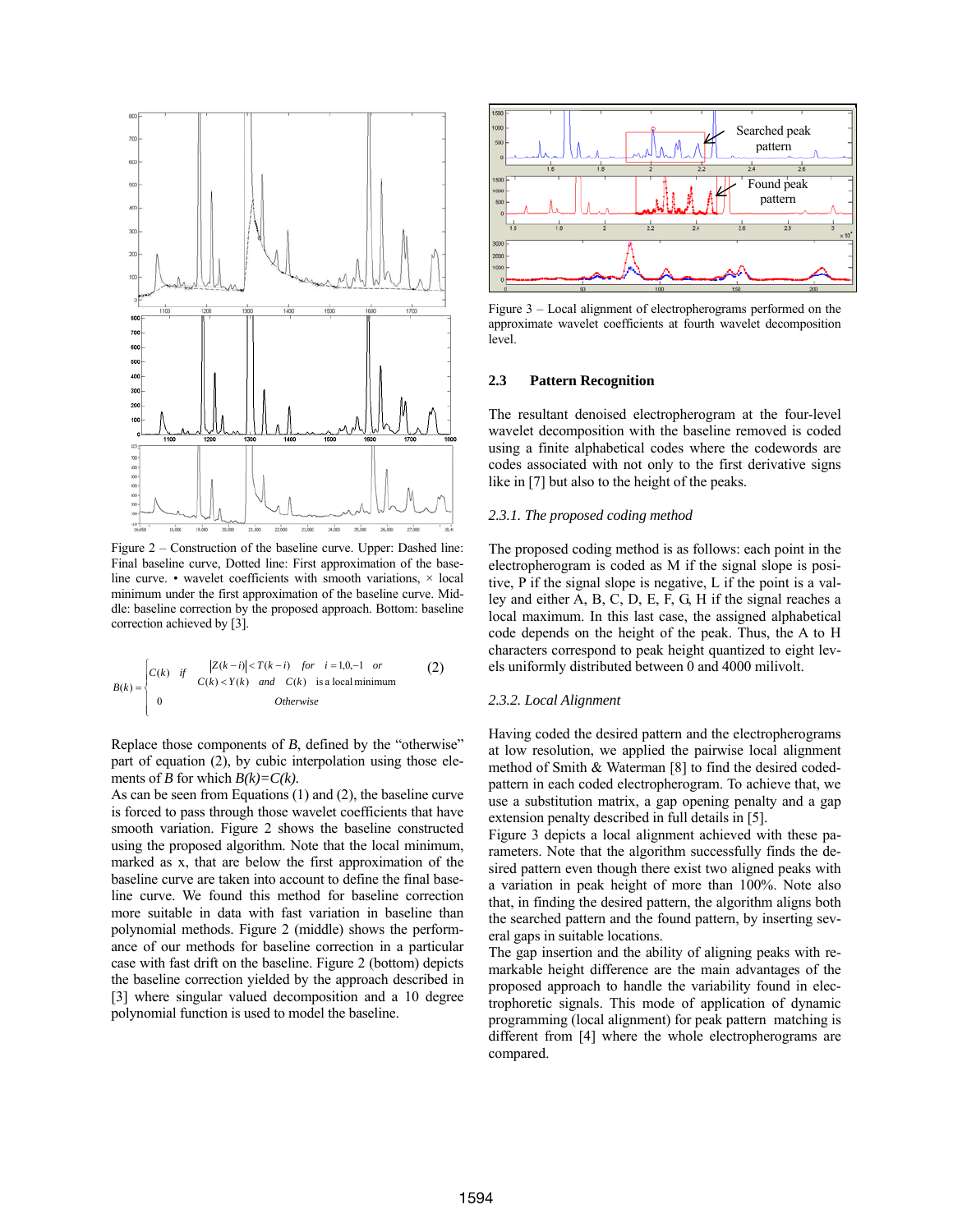

Figure 2 – Construction of the baseline curve. Upper: Dashed line: Final baseline curve, Dotted line: First approximation of the baseline curve. • wavelet coefficients with smooth variations,  $\times$  local minimum under the first approximation of the baseline curve. Middle: baseline correction by the proposed approach. Bottom: baseline correction achieved by [3].

$$
B(k) = \begin{cases} C(k) & \text{if} & |Z(k-i)| < T(k-i) \quad \text{for} \quad i = 1, 0, -1 \quad \text{or} \\ 0 & C(k) < Y(k) \quad \text{and} \quad C(k) \quad \text{is a local minimum} \\ 0 & \text{Otherwise} \end{cases}
$$
 (2)

Replace those components of *B*, defined by the "otherwise" part of equation (2), by cubic interpolation using those elements of *B* for which  $B(k)=C(k)$ .

As can be seen from Equations (1) and (2), the baseline curve is forced to pass through those wavelet coefficients that have smooth variation. Figure 2 shows the baseline constructed using the proposed algorithm. Note that the local minimum, marked as x, that are below the first approximation of the baseline curve are taken into account to define the final baseline curve. We found this method for baseline correction more suitable in data with fast variation in baseline than polynomial methods. Figure 2 (middle) shows the performance of our methods for baseline correction in a particular case with fast drift on the baseline. Figure 2 (bottom) depicts the baseline correction yielded by the approach described in [3] where singular valued decomposition and a 10 degree polynomial function is used to model the baseline.



Figure 3 – Local alignment of electropherograms performed on the approximate wavelet coefficients at fourth wavelet decomposition level.

#### **2.3 Pattern Recognition**

The resultant denoised electropherogram at the four-level wavelet decomposition with the baseline removed is coded using a finite alphabetical codes where the codewords are codes associated with not only to the first derivative signs like in [7] but also to the height of the peaks.

### *2.3.1. The proposed coding method*

The proposed coding method is as follows: each point in the electropherogram is coded as M if the signal slope is positive, P if the signal slope is negative, L if the point is a valley and either A, B, C, D, E, F, G, H if the signal reaches a local maximum. In this last case, the assigned alphabetical code depends on the height of the peak. Thus, the A to H characters correspond to peak height quantized to eight levels uniformly distributed between 0 and 4000 milivolt.

### *2.3.2. Local Alignment*

Having coded the desired pattern and the electropherograms at low resolution, we applied the pairwise local alignment method of Smith & Waterman [8] to find the desired codedpattern in each coded electropherogram. To achieve that, we use a substitution matrix, a gap opening penalty and a gap extension penalty described in full details in [5].

Figure 3 depicts a local alignment achieved with these parameters. Note that the algorithm successfully finds the desired pattern even though there exist two aligned peaks with a variation in peak height of more than 100%. Note also that, in finding the desired pattern, the algorithm aligns both the searched pattern and the found pattern, by inserting several gaps in suitable locations.

The gap insertion and the ability of aligning peaks with remarkable height difference are the main advantages of the proposed approach to handle the variability found in electrophoretic signals. This mode of application of dynamic programming (local alignment) for peak pattern matching is different from [4] where the whole electropherograms are compared.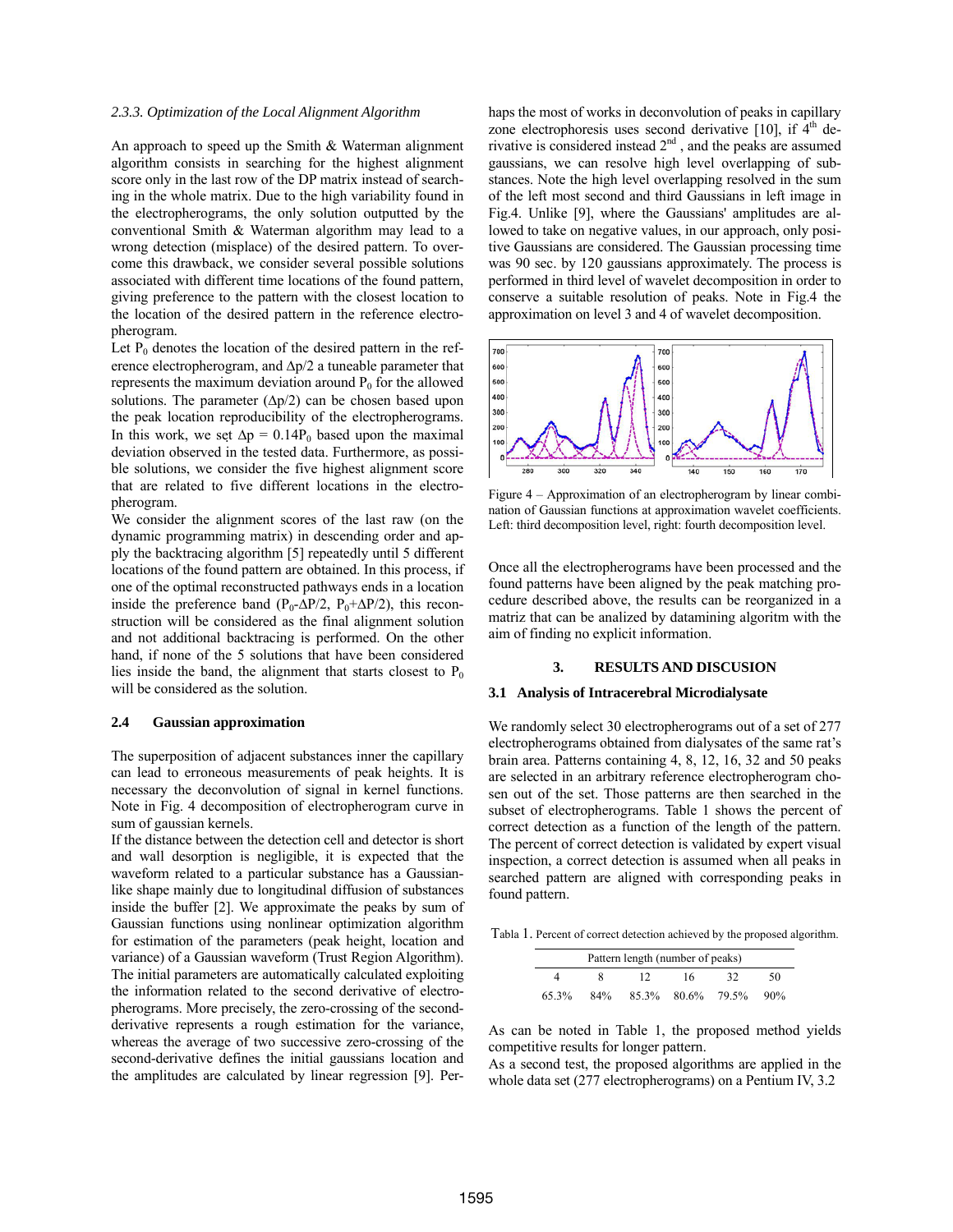### *2.3.3. Optimization of the Local Alignment Algorithm*

An approach to speed up the Smith & Waterman alignment algorithm consists in searching for the highest alignment score only in the last row of the DP matrix instead of searching in the whole matrix. Due to the high variability found in the electropherograms, the only solution outputted by the conventional Smith & Waterman algorithm may lead to a wrong detection (misplace) of the desired pattern. To overcome this drawback, we consider several possible solutions associated with different time locations of the found pattern, giving preference to the pattern with the closest location to the location of the desired pattern in the reference electropherogram.

Let  $P_0$  denotes the location of the desired pattern in the reference electropherogram, and  $\Delta p/2$  a tuneable parameter that represents the maximum deviation around  $P_0$  for the allowed solutions. The parameter  $(\Delta p/2)$  can be chosen based upon the peak location reproducibility of the electropherograms. In this work, we set  $\Delta p = 0.14P_0$  based upon the maximal deviation observed in the tested data. Furthermore, as possible solutions, we consider the five highest alignment score that are related to five different locations in the electropherogram.

We consider the alignment scores of the last raw (on the dynamic programming matrix) in descending order and apply the backtracing algorithm [5] repeatedly until 5 different locations of the found pattern are obtained. In this process, if one of the optimal reconstructed pathways ends in a location inside the preference band  $(P_0-\Delta P/2, P_0+\Delta P/2)$ , this reconstruction will be considered as the final alignment solution and not additional backtracing is performed. On the other hand, if none of the 5 solutions that have been considered lies inside the band, the alignment that starts closest to  $P_0$ will be considered as the solution.

#### **2.4 Gaussian approximation**

The superposition of adjacent substances inner the capillary can lead to erroneous measurements of peak heights. It is necessary the deconvolution of signal in kernel functions. Note in Fig. 4 decomposition of electropherogram curve in sum of gaussian kernels.

If the distance between the detection cell and detector is short and wall desorption is negligible, it is expected that the waveform related to a particular substance has a Gaussianlike shape mainly due to longitudinal diffusion of substances inside the buffer [2]. We approximate the peaks by sum of Gaussian functions using nonlinear optimization algorithm for estimation of the parameters (peak height, location and variance) of a Gaussian waveform (Trust Region Algorithm). The initial parameters are automatically calculated exploiting the information related to the second derivative of electropherograms. More precisely, the zero-crossing of the secondderivative represents a rough estimation for the variance, whereas the average of two successive zero-crossing of the second-derivative defines the initial gaussians location and the amplitudes are calculated by linear regression [9]. Per-

haps the most of works in deconvolution of peaks in capillary zone electrophoresis uses second derivative [10], if  $4<sup>th</sup>$  derivative is considered instead  $2<sup>nd</sup>$ , and the peaks are assumed gaussians, we can resolve high level overlapping of substances. Note the high level overlapping resolved in the sum of the left most second and third Gaussians in left image in Fig.4. Unlike [9], where the Gaussians' amplitudes are allowed to take on negative values, in our approach, only positive Gaussians are considered. The Gaussian processing time was 90 sec. by 120 gaussians approximately. The process is performed in third level of wavelet decomposition in order to conserve a suitable resolution of peaks. Note in Fig.4 the approximation on level 3 and 4 of wavelet decomposition.



Figure 4 – Approximation of an electropherogram by linear combination of Gaussian functions at approximation wavelet coefficients. Left: third decomposition level, right: fourth decomposition level.

Once all the electropherograms have been processed and the found patterns have been aligned by the peak matching procedure described above, the results can be reorganized in a matriz that can be analized by datamining algoritm with the aim of finding no explicit information.

#### **3. RESULTS AND DISCUSION**

### **3.1 Analysis of Intracerebral Microdialysate**

We randomly select 30 electropherograms out of a set of 277 electropherograms obtained from dialysates of the same rat's brain area. Patterns containing 4, 8, 12, 16, 32 and 50 peaks are selected in an arbitrary reference electropherogram chosen out of the set. Those patterns are then searched in the subset of electropherograms. Table 1 shows the percent of correct detection as a function of the length of the pattern. The percent of correct detection is validated by expert visual inspection, a correct detection is assumed when all peaks in searched pattern are aligned with corresponding peaks in found pattern.

Tabla 1. Percent of correct detection achieved by the proposed algorithm.

| Pattern length (number of peaks) |     |       |       |       |     |
|----------------------------------|-----|-------|-------|-------|-----|
|                                  |     |       | 16.   | 32    | 50  |
| 65.3%                            | 84% | 85.3% | 80.6% | 79.5% | 90% |

As can be noted in Table 1, the proposed method yields competitive results for longer pattern.

As a second test, the proposed algorithms are applied in the whole data set (277 electropherograms) on a Pentium IV, 3.2